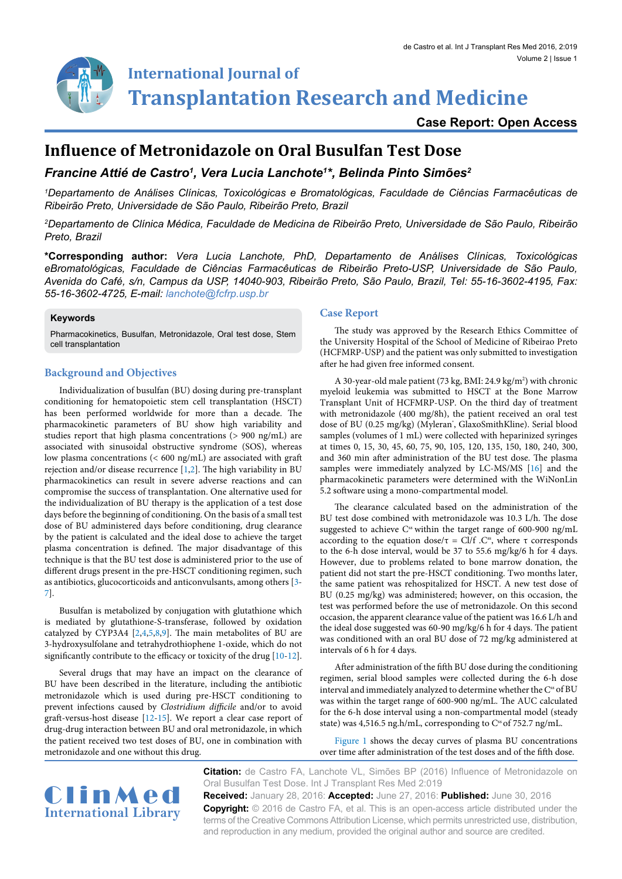**Transplantation Research and Medicine**

**Case Report: Open Access**

# **Influence of Metronidazole on Oral Busulfan Test Dose**

**International Journal of**

# *Francine Attié de Castro1 , Vera Lucia Lanchote1 \*, Belinda Pinto Simões2*

*1 Departamento de Análises Clínicas, Toxicológicas e Bromatológicas, Faculdade de Ciências Farmacêuticas de Ribeirão Preto, Universidade de São Paulo, Ribeirão Preto, Brazil*

*2 Departamento de Clínica Médica, Faculdade de Medicina de Ribeirão Preto, Universidade de São Paulo, Ribeirão Preto, Brazil*

**\*Corresponding author:** *Vera Lucia Lanchote, PhD, Departamento de Análises Clínicas, Toxicológicas eBromatológicas, Faculdade de Ciências Farmacêuticas de Ribeirão Preto-USP, Universidade de São Paulo, Avenida do Café, s/n, Campus da USP, 14040-903, Ribeirão Preto, São Paulo, Brazil, Tel: 55-16-3602-4195, Fax: 55-16-3602-4725, E-mail: lanchote@fcfrp.usp.br*

#### **Keywords**

Pharmacokinetics, Busulfan, Metronidazole, Oral test dose, Stem cell transplantation

## **Background and Objectives**

Individualization of busulfan (BU) dosing during pre-transplant conditioning for hematopoietic stem cell transplantation (HSCT) has been performed worldwide for more than a decade. The pharmacokinetic parameters of BU show high variability and studies report that high plasma concentrations (> 900 ng/mL) are associated with sinusoidal obstructive syndrome (SOS), whereas low plasma concentrations (< 600 ng/mL) are associated with graft rejection and/or disease recurrence [[1](#page-2-0)[,2\]](#page-2-1). The high variability in BU pharmacokinetics can result in severe adverse reactions and can compromise the success of transplantation. One alternative used for the individualization of BU therapy is the application of a test dose days before the beginning of conditioning. On the basis of a small test dose of BU administered days before conditioning, drug clearance by the patient is calculated and the ideal dose to achieve the target plasma concentration is defined. The major disadvantage of this technique is that the BU test dose is administered prior to the use of different drugs present in the pre-HSCT conditioning regimen, such as antibiotics, glucocorticoids and anticonvulsants, among others [[3-](#page-2-2) [7\]](#page-2-3).

Busulfan is metabolized by conjugation with glutathione which is mediated by glutathione-S-transferase, followed by oxidation catalyzed by CYP3A4 [\[2,](#page-2-1)[4](#page-2-4)[,5,](#page-2-5)[8,](#page-2-6)[9](#page-2-7)]. The main metabolites of BU are 3-hydroxysulfolane and tetrahydrothiophene 1-oxide, which do not significantly contribute to the efficacy or toxicity of the drug [\[10](#page-2-8)[-12\]](#page-2-9).

Several drugs that may have an impact on the clearance of BU have been described in the literature, including the antibiotic metronidazole which is used during pre-HSCT conditioning to prevent infections caused by *Clostridium difficile* and/or to avoid graft-versus-host disease [\[12-](#page-2-9)[15\]](#page-2-10). We report a clear case report of drug-drug interaction between BU and oral metronidazole, in which the patient received two test doses of BU, one in combination with metronidazole and one without this drug.

### **Case Report**

The study was approved by the Research Ethics Committee of the University Hospital of the School of Medicine of Ribeirao Preto (HCFMRP-USP) and the patient was only submitted to investigation after he had given free informed consent.

A 30-year-old male patient (73 kg, BMI: 24.9 kg/m<sup>2</sup>) with chronic myeloid leukemia was submitted to HSCT at the Bone Marrow Transplant Unit of HCFMRP-USP. On the third day of treatment with metronidazole (400 mg/8h), the patient received an oral test dose of BU (0.25 mg/kg) (Myleran', GlaxoSmithKline). Serial blood samples (volumes of 1 mL) were collected with heparinized syringes at times 0, 15, 30, 45, 60, 75, 90, 105, 120, 135, 150, 180, 240, 300, and 360 min after administration of the BU test dose. The plasma samples were immediately analyzed by LC-MS/MS [[16](#page-2-11)] and the pharmacokinetic parameters were determined with the WiNonLin 5.2 software using a mono-compartmental model.

The clearance calculated based on the administration of the BU test dose combined with metronidazole was 10.3 L/h. The dose suggested to achieve  $C^s$  within the target range of 600-900 ng/mL according to the equation dose/τ = Cl/f .C<sup>ss</sup>, where τ corresponds to the 6-h dose interval, would be 37 to 55.6 mg/kg/6 h for 4 days. However, due to problems related to bone marrow donation, the patient did not start the pre-HSCT conditioning. Two months later, the same patient was rehospitalized for HSCT. A new test dose of BU (0.25 mg/kg) was administered; however, on this occasion, the test was performed before the use of metronidazole. On this second occasion, the apparent clearance value of the patient was 16.6 L/h and the ideal dose suggested was 60-90 mg/kg/6 h for 4 days. The patient was conditioned with an oral BU dose of 72 mg/kg administered at intervals of 6 h for 4 days.

After administration of the fifth BU dose during the conditioning regimen, serial blood samples were collected during the 6-h dose interval and immediately analyzed to determine whether the C<sup>ss</sup> of BU was within the target range of 600-900 ng/mL. The AUC calculated for the 6-h dose interval using a non-compartmental model (steady state) was 4,516.5 ng.h/mL, corresponding to C<sup>ss</sup> of 752.7 ng/mL.

[Figure 1](#page-1-0) shows the decay curves of plasma BU concentrations over time after administration of the test doses and of the fifth dose.



**Citation:** de Castro FA, Lanchote VL, Simões BP (2016) Influence of Metronidazole on Oral Busulfan Test Dose. Int J Transplant Res Med 2:019

**Received:** January 28, 2016: **Accepted:** June 27, 2016: **Published:** June 30, 2016 **Copyright:** © 2016 de Castro FA, et al. This is an open-access article distributed under the terms of the Creative Commons Attribution License, which permits unrestricted use, distribution, and reproduction in any medium, provided the original author and source are credited.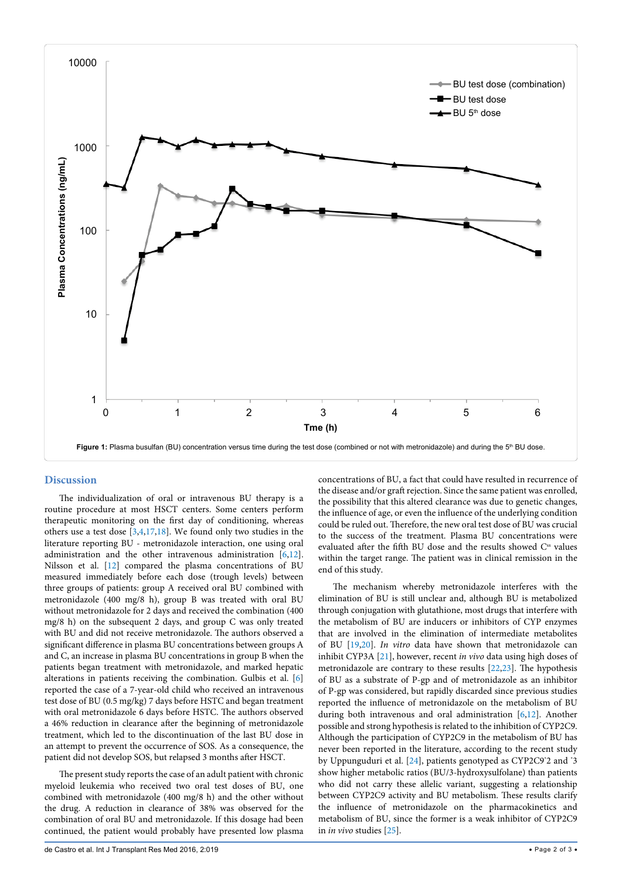<span id="page-1-0"></span>

#### **Discussion**

The individualization of oral or intravenous BU therapy is a routine procedure at most HSCT centers. Some centers perform therapeutic monitoring on the first day of conditioning, whereas others use a test dose [[3](#page-2-2)[,4](#page-2-4),[17](#page-2-12)[,18\]](#page-2-13). We found only two studies in the literature reporting BU - metronidazole interaction, one using oral administration and the other intravenous administration [\[6,](#page-2-14)[12](#page-2-9)]. Nilsson et al. [[12](#page-2-9)] compared the plasma concentrations of BU measured immediately before each dose (trough levels) between three groups of patients: group A received oral BU combined with metronidazole (400 mg/8 h), group B was treated with oral BU without metronidazole for 2 days and received the combination (400 mg/8 h) on the subsequent 2 days, and group C was only treated with BU and did not receive metronidazole. The authors observed a significant difference in plasma BU concentrations between groups A and C, an increase in plasma BU concentrations in group B when the patients began treatment with metronidazole, and marked hepatic alterations in patients receiving the combination. Gulbis et al. [\[6](#page-2-14)] reported the case of a 7-year-old child who received an intravenous test dose of BU (0.5 mg/kg) 7 days before HSTC and began treatment with oral metronidazole 6 days before HSTC. The authors observed a 46% reduction in clearance after the beginning of metronidazole treatment, which led to the discontinuation of the last BU dose in an attempt to prevent the occurrence of SOS. As a consequence, the patient did not develop SOS, but relapsed 3 months after HSCT.

The present study reports the case of an adult patient with chronic myeloid leukemia who received two oral test doses of BU, one combined with metronidazole (400 mg/8 h) and the other without the drug. A reduction in clearance of 38% was observed for the combination of oral BU and metronidazole. If this dosage had been continued, the patient would probably have presented low plasma concentrations of BU, a fact that could have resulted in recurrence of the disease and/or graft rejection. Since the same patient was enrolled, the possibility that this altered clearance was due to genetic changes, the influence of age, or even the influence of the underlying condition could be ruled out. Therefore, the new oral test dose of BU was crucial to the success of the treatment. Plasma BU concentrations were evaluated after the fifth BU dose and the results showed C<sup>ss</sup> values within the target range. The patient was in clinical remission in the end of this study.

The mechanism whereby metronidazole interferes with the elimination of BU is still unclear and, although BU is metabolized through conjugation with glutathione, most drugs that interfere with the metabolism of BU are inducers or inhibitors of CYP enzymes that are involved in the elimination of intermediate metabolites of BU [\[19,](#page-2-15)[20\]](#page-2-16). *In vitro* data have shown that metronidazole can inhibit CYP3A [[21](#page-2-17)], however, recent *in vivo* data using high doses of metronidazole are contrary to these results [\[22,](#page-2-18)[23](#page-2-19)]. The hypothesis of BU as a substrate of P-gp and of metronidazole as an inhibitor of P-gp was considered, but rapidly discarded since previous studies reported the influence of metronidazole on the metabolism of BU during both intravenous and oral administration [\[6](#page-2-14)[,12](#page-2-9)]. Another possible and strong hypothesis is related to the inhibition of CYP2C9. Although the participation of CYP2C9 in the metabolism of BU has never been reported in the literature, according to the recent study by Uppunguduri et al. [[24](#page-2-20)], patients genotyped as CYP2C9'2 and '3 show higher metabolic ratios (BU/3-hydroxysulfolane) than patients who did not carry these allelic variant, suggesting a relationship between CYP2C9 activity and BU metabolism. These results clarify the influence of metronidazole on the pharmacokinetics and metabolism of BU, since the former is a weak inhibitor of CYP2C9 in *in vivo* studies [\[25](#page-2-21)].